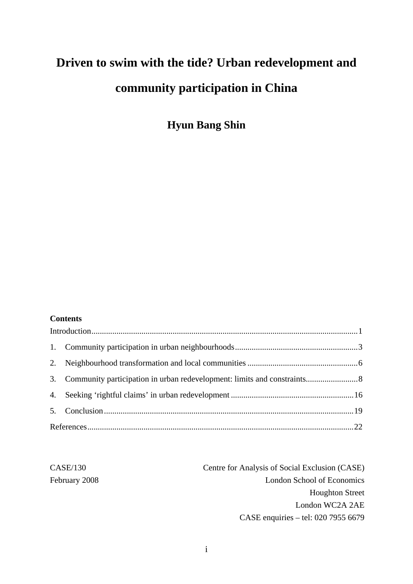# **Driven to swim with the tide? Urban redevelopment and community participation in China**

**Hyun Bang Shin** 

#### **Contents**

| Centre for Analysis of Social Exclusion (CASE) | CASE/130      |  |
|------------------------------------------------|---------------|--|
| London School of Economics                     | February 2008 |  |
| <b>Houghton Street</b>                         |               |  |
| London WC2A 2AE                                |               |  |
| CASE enquiries – tel: 020 7955 6679            |               |  |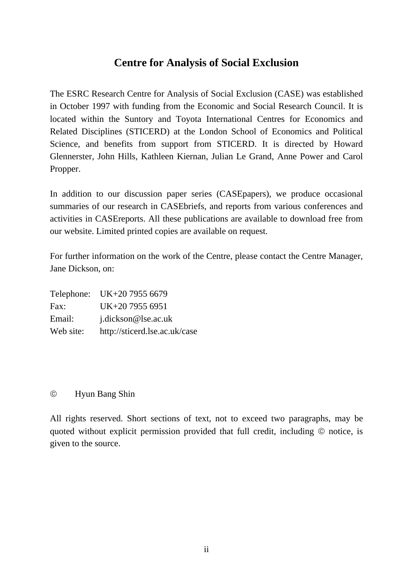# **Centre for Analysis of Social Exclusion**

The ESRC Research Centre for Analysis of Social Exclusion (CASE) was established in October 1997 with funding from the Economic and Social Research Council. It is located within the Suntory and Toyota International Centres for Economics and Related Disciplines (STICERD) at the London School of Economics and Political Science, and benefits from support from STICERD. It is directed by Howard Glennerster, John Hills, Kathleen Kiernan, Julian Le Grand, Anne Power and Carol Propper.

In addition to our discussion paper series (CASEpapers), we produce occasional summaries of our research in CASEbriefs, and reports from various conferences and activities in CASEreports. All these publications are available to download free from our website. Limited printed copies are available on request.

For further information on the work of the Centre, please contact the Centre Manager, Jane Dickson, on:

Telephone: UK+20 7955 6679 Fax: UK+20 7955 6951 Email: j.dickson@lse.ac.uk Web site: http://sticerd.lse.ac.uk/case

## © Hyun Bang Shin

All rights reserved. Short sections of text, not to exceed two paragraphs, may be quoted without explicit permission provided that full credit, including © notice, is given to the source.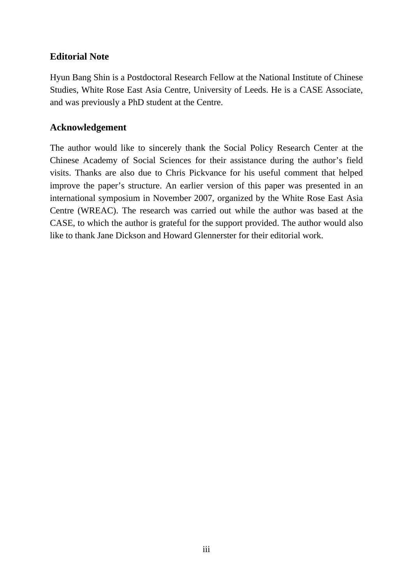## **Editorial Note**

Hyun Bang Shin is a Postdoctoral Research Fellow at the National Institute of Chinese Studies, White Rose East Asia Centre, University of Leeds. He is a CASE Associate, and was previously a PhD student at the Centre.

## **Acknowledgement**

The author would like to sincerely thank the Social Policy Research Center at the Chinese Academy of Social Sciences for their assistance during the author's field visits. Thanks are also due to Chris Pickvance for his useful comment that helped improve the paper's structure. An earlier version of this paper was presented in an international symposium in November 2007, organized by the White Rose East Asia Centre (WREAC). The research was carried out while the author was based at the CASE, to which the author is grateful for the support provided. The author would also like to thank Jane Dickson and Howard Glennerster for their editorial work.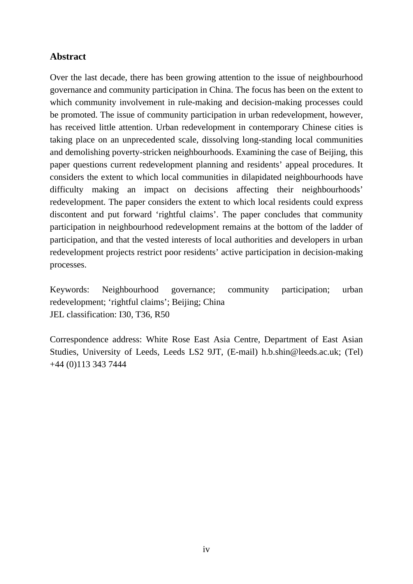## **Abstract**

Over the last decade, there has been growing attention to the issue of neighbourhood governance and community participation in China. The focus has been on the extent to which community involvement in rule-making and decision-making processes could be promoted. The issue of community participation in urban redevelopment, however, has received little attention. Urban redevelopment in contemporary Chinese cities is taking place on an unprecedented scale, dissolving long-standing local communities and demolishing poverty-stricken neighbourhoods. Examining the case of Beijing, this paper questions current redevelopment planning and residents' appeal procedures. It considers the extent to which local communities in dilapidated neighbourhoods have difficulty making an impact on decisions affecting their neighbourhoods' redevelopment. The paper considers the extent to which local residents could express discontent and put forward 'rightful claims'. The paper concludes that community participation in neighbourhood redevelopment remains at the bottom of the ladder of participation, and that the vested interests of local authorities and developers in urban redevelopment projects restrict poor residents' active participation in decision-making processes.

Keywords: Neighbourhood governance; community participation; urban redevelopment; 'rightful claims'; Beijing; China JEL classification: I30, T36, R50

Correspondence address: White Rose East Asia Centre, Department of East Asian Studies, University of Leeds, Leeds LS2 9JT, (E-mail) h.b.shin@leeds.ac.uk; (Tel) +44 (0)113 343 7444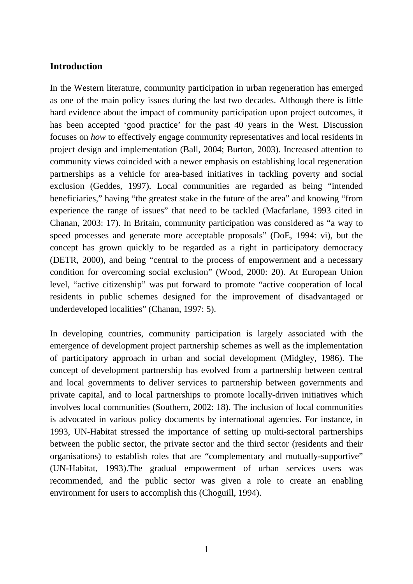## <span id="page-4-0"></span>**Introduction**

In the Western literature, community participation in urban regeneration has emerged as one of the main policy issues during the last two decades. Although there is little hard evidence about the impact of community participation upon project outcomes, it has been accepted 'good practice' for the past 40 years in the West. Discussion focuses on *how* to effectively engage community representatives and local residents in project design and implementation (Ball, 2004; Burton, 2003). Increased attention to community views coincided with a newer emphasis on establishing local regeneration partnerships as a vehicle for area-based initiatives in tackling poverty and social exclusion (Geddes, 1997). Local communities are regarded as being "intended beneficiaries," having "the greatest stake in the future of the area" and knowing "from experience the range of issues" that need to be tackled (Macfarlane, 1993 cited in Chanan, 2003: 17). In Britain, community participation was considered as "a way to speed processes and generate more acceptable proposals" (DoE, 1994: vi), but the concept has grown quickly to be regarded as a right in participatory democracy (DETR, 2000), and being "central to the process of empowerment and a necessary condition for overcoming social exclusion" (Wood, 2000: 20). At European Union level, "active citizenship" was put forward to promote "active cooperation of local residents in public schemes designed for the improvement of disadvantaged or underdeveloped localities" (Chanan, 1997: 5).

In developing countries, community participation is largely associated with the emergence of development project partnership schemes as well as the implementation of participatory approach in urban and social development (Midgley, 1986). The concept of development partnership has evolved from a partnership between central and local governments to deliver services to partnership between governments and private capital, and to local partnerships to promote locally-driven initiatives which involves local communities (Southern, 2002: 18). The inclusion of local communities is advocated in various policy documents by international agencies. For instance, in 1993, UN-Habitat stressed the importance of setting up multi-sectoral partnerships between the public sector, the private sector and the third sector (residents and their organisations) to establish roles that are "complementary and mutually-supportive" (UN-Habitat, 1993).The gradual empowerment of urban services users was recommended, and the public sector was given a role to create an enabling environment for users to accomplish this (Choguill, 1994).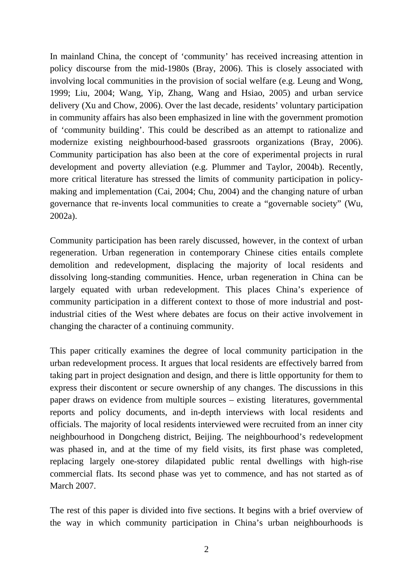In mainland China, the concept of 'community' has received increasing attention in policy discourse from the mid-1980s (Bray, 2006). This is closely associated with involving local communities in the provision of social welfare (e.g. Leung and Wong, 1999; Liu, 2004; Wang, Yip, Zhang, Wang and Hsiao, 2005) and urban service delivery (Xu and Chow, 2006). Over the last decade, residents' voluntary participation in community affairs has also been emphasized in line with the government promotion of 'community building'. This could be described as an attempt to rationalize and modernize existing neighbourhood-based grassroots organizations (Bray, 2006). Community participation has also been at the core of experimental projects in rural development and poverty alleviation (e.g. Plummer and Taylor, 2004b). Recently, more critical literature has stressed the limits of community participation in policymaking and implementation (Cai, 2004; Chu, 2004) and the changing nature of urban governance that re-invents local communities to create a "governable society" (Wu, 2002a).

Community participation has been rarely discussed, however, in the context of urban regeneration. Urban regeneration in contemporary Chinese cities entails complete demolition and redevelopment, displacing the majority of local residents and dissolving long-standing communities. Hence, urban regeneration in China can be largely equated with urban redevelopment. This places China's experience of community participation in a different context to those of more industrial and postindustrial cities of the West where debates are focus on their active involvement in changing the character of a continuing community.

This paper critically examines the degree of local community participation in the urban redevelopment process. It argues that local residents are effectively barred from taking part in project designation and design, and there is little opportunity for them to express their discontent or secure ownership of any changes. The discussions in this paper draws on evidence from multiple sources – existing literatures, governmental reports and policy documents, and in-depth interviews with local residents and officials. The majority of local residents interviewed were recruited from an inner city neighbourhood in Dongcheng district, Beijing. The neighbourhood's redevelopment was phased in, and at the time of my field visits, its first phase was completed, replacing largely one-storey dilapidated public rental dwellings with high-rise commercial flats. Its second phase was yet to commence, and has not started as of March 2007.

The rest of this paper is divided into five sections. It begins with a brief overview of the way in which community participation in China's urban neighbourhoods is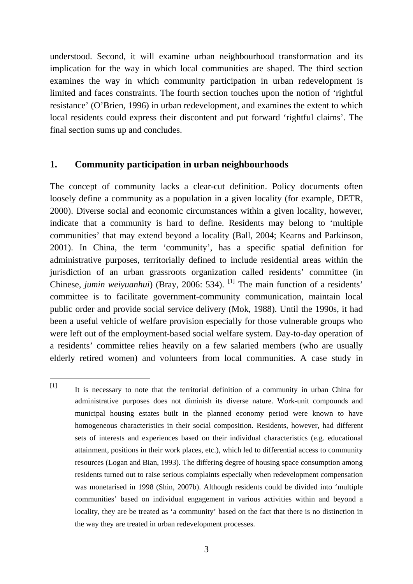<span id="page-6-0"></span>understood. Second, it will examine urban neighbourhood transformation and its implication for the way in which local communities are shaped. The third section examines the way in which community participation in urban redevelopment is limited and faces constraints. The fourth section touches upon the notion of 'rightful resistance' (O'Brien, 1996) in urban redevelopment, and examines the extent to which local residents could express their discontent and put forward 'rightful claims'. The final section sums up and concludes.

## **1. Community participation in urban neighbourhoods**

 $\overline{a}$ 

The concept of community lacks a clear-cut definition. Policy documents often loosely define a community as a population in a given locality (for example, DETR, 2000). Diverse social and economic circumstances within a given locality, however, indicate that a community is hard to define. Residents may belong to 'multiple communities' that may extend beyond a locality (Ball, 2004; Kearns and Parkinson, 2001). In China, the term 'community', has a specific spatial definition for administrative purposes, territorially defined to include residential areas within the jurisdiction of an urban grassroots organization called residents' committee (in Chinese, *jumin weiyuanhui*) (Bray, 2006: 534). <sup>[\[1\]](#page-6-1)</sup> The main function of a residents' committee is to facilitate government-community communication, maintain local public order and provide social service delivery (Mok, 1988). Until the 1990s, it had been a useful vehicle of welfare provision especially for those vulnerable groups who were left out of the employment-based social welfare system. Day-to-day operation of a residents' committee relies heavily on a few salaried members (who are usually elderly retired women) and volunteers from local communities. A case study in

<span id="page-6-1"></span><sup>[1]</sup> It is necessary to note that the territorial definition of a community in urban China for administrative purposes does not diminish its diverse nature. Work-unit compounds and municipal housing estates built in the planned economy period were known to have homogeneous characteristics in their social composition. Residents, however, had different sets of interests and experiences based on their individual characteristics (e.g. educational attainment, positions in their work places, etc.), which led to differential access to community resources (Logan and Bian, 1993). The differing degree of housing space consumption among residents turned out to raise serious complaints especially when redevelopment compensation was monetarised in 1998 (Shin, 2007b). Although residents could be divided into 'multiple communities' based on individual engagement in various activities within and beyond a locality, they are be treated as 'a community' based on the fact that there is no distinction in the way they are treated in urban redevelopment processes.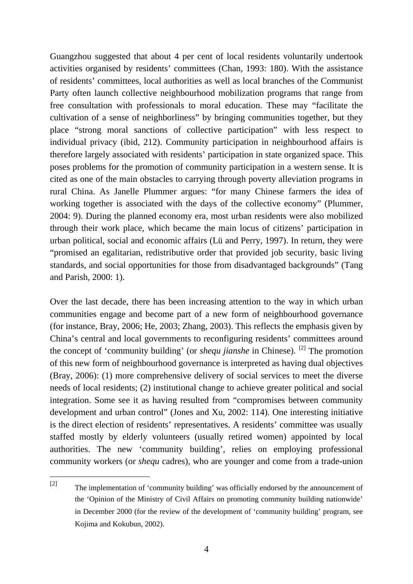Guangzhou suggested that about 4 per cent of local residents voluntarily undertook activities organised by residents' committees (Chan, 1993: 180). With the assistance of residents' committees, local authorities as well as local branches of the Communist Party often launch collective neighbourhood mobilization programs that range from free consultation with professionals to moral education. These may "facilitate the cultivation of a sense of neighborliness" by bringing communities together, but they place "strong moral sanctions of collective participation" with less respect to individual privacy (ibid, 212). Community participation in neighbourhood affairs is therefore largely associated with residents' participation in state organized space. This poses problems for the promotion of community participation in a western sense. It is cited as one of the main obstacles to carrying through poverty alleviation programs in rural China. As Janelle Plummer argues: "for many Chinese farmers the idea of working together is associated with the days of the collective economy" (Plummer, 2004: 9). During the planned economy era, most urban residents were also mobilized through their work place, which became the main locus of citizens' participation in urban political, social and economic affairs (Lü and Perry, 1997). In return, they were "promised an egalitarian, redistributive order that provided job security, basic living standards, and social opportunities for those from disadvantaged backgrounds" (Tang and Parish, 2000: 1).

Over the last decade, there has been increasing attention to the way in which urban communities engage and become part of a new form of neighbourhood governance (for instance, Bray, 2006; He, 2003; Zhang, 2003). This reflects the emphasis given by China's central and local governments to reconfiguring residents' committees around the concept of 'community building' (or *shequ jianshe* in Chinese). [\[2\]](#page-7-0) The promotion of this new form of neighbourhood governance is interpreted as having dual objectives (Bray, 2006): (1) more comprehensive delivery of social services to meet the diverse needs of local residents; (2) institutional change to achieve greater political and social integration. Some see it as having resulted from "compromises between community development and urban control" (Jones and Xu, 2002: 114). One interesting initiative is the direct election of residents' representatives. A residents' committee was usually staffed mostly by elderly volunteers (usually retired women) appointed by local authorities. The new 'community building', relies on employing professional community workers (or *shequ* cadres), who are younger and come from a trade-union

 $\overline{a}$ 

<span id="page-7-0"></span><sup>[2]</sup> The implementation of 'community building' was officially endorsed by the announcement of the 'Opinion of the Ministry of Civil Affairs on promoting community building nationwide' in December 2000 (for the review of the development of 'community building' program, see Kojima and Kokubun, 2002).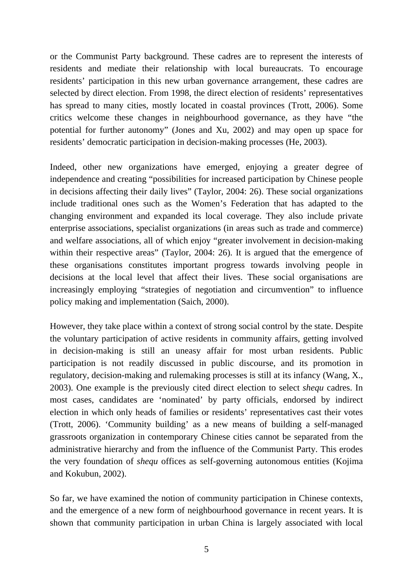or the Communist Party background. These cadres are to represent the interests of residents and mediate their relationship with local bureaucrats. To encourage residents' participation in this new urban governance arrangement, these cadres are selected by direct election. From 1998, the direct election of residents' representatives has spread to many cities, mostly located in coastal provinces (Trott, 2006). Some critics welcome these changes in neighbourhood governance, as they have "the potential for further autonomy" (Jones and Xu, 2002) and may open up space for residents' democratic participation in decision-making processes (He, 2003).

Indeed, other new organizations have emerged, enjoying a greater degree of independence and creating "possibilities for increased participation by Chinese people in decisions affecting their daily lives" (Taylor, 2004: 26). These social organizations include traditional ones such as the Women's Federation that has adapted to the changing environment and expanded its local coverage. They also include private enterprise associations, specialist organizations (in areas such as trade and commerce) and welfare associations, all of which enjoy "greater involvement in decision-making within their respective areas" (Taylor, 2004: 26). It is argued that the emergence of these organisations constitutes important progress towards involving people in decisions at the local level that affect their lives. These social organisations are increasingly employing "strategies of negotiation and circumvention" to influence policy making and implementation (Saich, 2000).

However, they take place within a context of strong social control by the state. Despite the voluntary participation of active residents in community affairs, getting involved in decision-making is still an uneasy affair for most urban residents. Public participation is not readily discussed in public discourse, and its promotion in regulatory, decision-making and rulemaking processes is still at its infancy (Wang, X., 2003). One example is the previously cited direct election to select *shequ* cadres. In most cases, candidates are 'nominated' by party officials, endorsed by indirect election in which only heads of families or residents' representatives cast their votes (Trott, 2006). 'Community building' as a new means of building a self-managed grassroots organization in contemporary Chinese cities cannot be separated from the administrative hierarchy and from the influence of the Communist Party. This erodes the very foundation of *shequ* offices as self-governing autonomous entities (Kojima and Kokubun, 2002).

So far, we have examined the notion of community participation in Chinese contexts, and the emergence of a new form of neighbourhood governance in recent years. It is shown that community participation in urban China is largely associated with local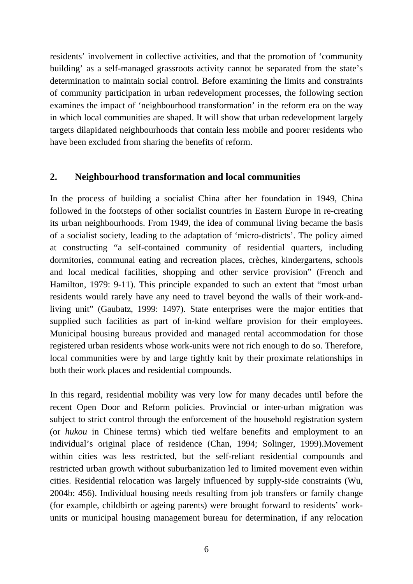<span id="page-9-0"></span>residents' involvement in collective activities, and that the promotion of 'community building' as a self-managed grassroots activity cannot be separated from the state's determination to maintain social control. Before examining the limits and constraints of community participation in urban redevelopment processes, the following section examines the impact of 'neighbourhood transformation' in the reform era on the way in which local communities are shaped. It will show that urban redevelopment largely targets dilapidated neighbourhoods that contain less mobile and poorer residents who have been excluded from sharing the benefits of reform.

## **2. Neighbourhood transformation and local communities**

In the process of building a socialist China after her foundation in 1949, China followed in the footsteps of other socialist countries in Eastern Europe in re-creating its urban neighbourhoods. From 1949, the idea of communal living became the basis of a socialist society, leading to the adaptation of 'micro-districts'. The policy aimed at constructing "a self-contained community of residential quarters, including dormitories, communal eating and recreation places, crèches, kindergartens, schools and local medical facilities, shopping and other service provision" (French and Hamilton, 1979: 9-11). This principle expanded to such an extent that "most urban residents would rarely have any need to travel beyond the walls of their work-andliving unit" (Gaubatz, 1999: 1497). State enterprises were the major entities that supplied such facilities as part of in-kind welfare provision for their employees. Municipal housing bureaus provided and managed rental accommodation for those registered urban residents whose work-units were not rich enough to do so. Therefore, local communities were by and large tightly knit by their proximate relationships in both their work places and residential compounds.

In this regard, residential mobility was very low for many decades until before the recent Open Door and Reform policies. Provincial or inter-urban migration was subject to strict control through the enforcement of the household registration system (or *hukou* in Chinese terms) which tied welfare benefits and employment to an individual's original place of residence (Chan, 1994; Solinger, 1999).Movement within cities was less restricted, but the self-reliant residential compounds and restricted urban growth without suburbanization led to limited movement even within cities. Residential relocation was largely influenced by supply-side constraints (Wu, 2004b: 456). Individual housing needs resulting from job transfers or family change (for example, childbirth or ageing parents) were brought forward to residents' workunits or municipal housing management bureau for determination, if any relocation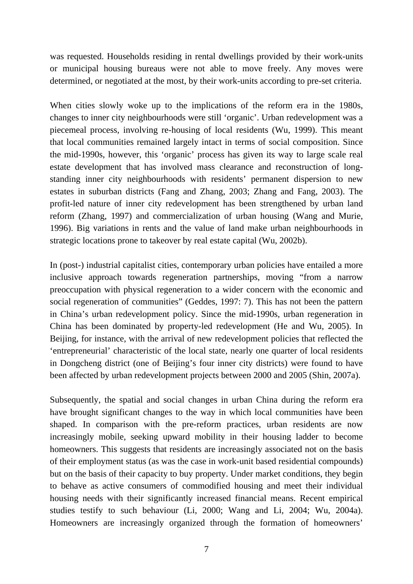was requested. Households residing in rental dwellings provided by their work-units or municipal housing bureaus were not able to move freely. Any moves were determined, or negotiated at the most, by their work-units according to pre-set criteria.

When cities slowly woke up to the implications of the reform era in the 1980s, changes to inner city neighbourhoods were still 'organic'. Urban redevelopment was a piecemeal process, involving re-housing of local residents (Wu, 1999). This meant that local communities remained largely intact in terms of social composition. Since the mid-1990s, however, this 'organic' process has given its way to large scale real estate development that has involved mass clearance and reconstruction of longstanding inner city neighbourhoods with residents' permanent dispersion to new estates in suburban districts (Fang and Zhang, 2003; Zhang and Fang, 2003). The profit-led nature of inner city redevelopment has been strengthened by urban land reform (Zhang, 1997) and commercialization of urban housing (Wang and Murie, 1996). Big variations in rents and the value of land make urban neighbourhoods in strategic locations prone to takeover by real estate capital (Wu, 2002b).

In (post-) industrial capitalist cities, contemporary urban policies have entailed a more inclusive approach towards regeneration partnerships, moving "from a narrow preoccupation with physical regeneration to a wider concern with the economic and social regeneration of communities" (Geddes, 1997: 7). This has not been the pattern in China's urban redevelopment policy. Since the mid-1990s, urban regeneration in China has been dominated by property-led redevelopment (He and Wu, 2005). In Beijing, for instance, with the arrival of new redevelopment policies that reflected the 'entrepreneurial' characteristic of the local state, nearly one quarter of local residents in Dongcheng district (one of Beijing's four inner city districts) were found to have been affected by urban redevelopment projects between 2000 and 2005 (Shin, 2007a).

Subsequently, the spatial and social changes in urban China during the reform era have brought significant changes to the way in which local communities have been shaped. In comparison with the pre-reform practices, urban residents are now increasingly mobile, seeking upward mobility in their housing ladder to become homeowners. This suggests that residents are increasingly associated not on the basis of their employment status (as was the case in work-unit based residential compounds) but on the basis of their capacity to buy property. Under market conditions, they begin to behave as active consumers of commodified housing and meet their individual housing needs with their significantly increased financial means. Recent empirical studies testify to such behaviour (Li, 2000; Wang and Li, 2004; Wu, 2004a). Homeowners are increasingly organized through the formation of homeowners'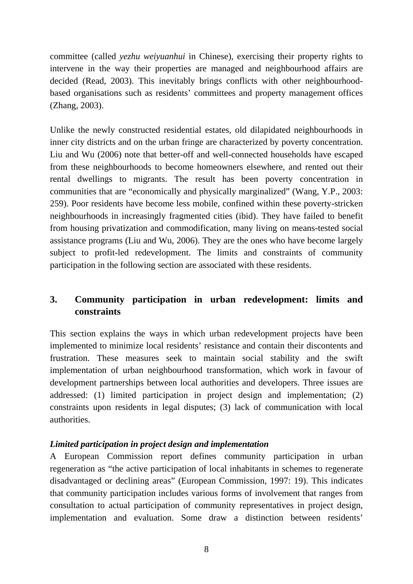<span id="page-11-0"></span>committee (called *yezhu weiyuanhui* in Chinese), exercising their property rights to intervene in the way their properties are managed and neighbourhood affairs are decided (Read, 2003). This inevitably brings conflicts with other neighbourhoodbased organisations such as residents' committees and property management offices (Zhang, 2003).

Unlike the newly constructed residential estates, old dilapidated neighbourhoods in inner city districts and on the urban fringe are characterized by poverty concentration. Liu and Wu (2006) note that better-off and well-connected households have escaped from these neighbourhoods to become homeowners elsewhere, and rented out their rental dwellings to migrants. The result has been poverty concentration in communities that are "economically and physically marginalized" (Wang, Y.P., 2003: 259). Poor residents have become less mobile, confined within these poverty-stricken neighbourhoods in increasingly fragmented cities (ibid). They have failed to benefit from housing privatization and commodification, many living on means-tested social assistance programs (Liu and Wu, 2006). They are the ones who have become largely subject to profit-led redevelopment. The limits and constraints of community participation in the following section are associated with these residents.

# **3. Community participation in urban redevelopment: limits and constraints**

This section explains the ways in which urban redevelopment projects have been implemented to minimize local residents' resistance and contain their discontents and frustration. These measures seek to maintain social stability and the swift implementation of urban neighbourhood transformation, which work in favour of development partnerships between local authorities and developers. Three issues are addressed: (1) limited participation in project design and implementation; (2) constraints upon residents in legal disputes; (3) lack of communication with local authorities.

## *Limited participation in project design and implementation*

A European Commission report defines community participation in urban regeneration as "the active participation of local inhabitants in schemes to regenerate disadvantaged or declining areas" (European Commission, 1997: 19). This indicates that community participation includes various forms of involvement that ranges from consultation to actual participation of community representatives in project design, implementation and evaluation. Some draw a distinction between residents'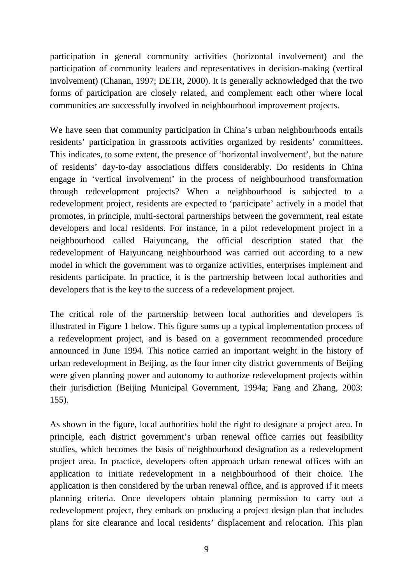participation in general community activities (horizontal involvement) and the participation of community leaders and representatives in decision-making (vertical involvement) (Chanan, 1997; DETR, 2000). It is generally acknowledged that the two forms of participation are closely related, and complement each other where local communities are successfully involved in neighbourhood improvement projects.

We have seen that community participation in China's urban neighbourhoods entails residents' participation in grassroots activities organized by residents' committees. This indicates, to some extent, the presence of 'horizontal involvement', but the nature of residents' day-to-day associations differs considerably. Do residents in China engage in 'vertical involvement' in the process of neighbourhood transformation through redevelopment projects? When a neighbourhood is subjected to a redevelopment project, residents are expected to 'participate' actively in a model that promotes, in principle, multi-sectoral partnerships between the government, real estate developers and local residents. For instance, in a pilot redevelopment project in a neighbourhood called Haiyuncang, the official description stated that the redevelopment of Haiyuncang neighbourhood was carried out according to a new model in which the government was to organize activities, enterprises implement and residents participate. In practice, it is the partnership between local authorities and developers that is the key to the success of a redevelopment project.

The critical role of the partnership between local authorities and developers is illustrated in Figure 1 below. This figure sums up a typical implementation process of a redevelopment project, and is based on a government recommended procedure announced in June 1994. This notice carried an important weight in the history of urban redevelopment in Beijing, as the four inner city district governments of Beijing were given planning power and autonomy to authorize redevelopment projects within their jurisdiction (Beijing Municipal Government, 1994a; Fang and Zhang, 2003: 155).

As shown in the figure, local authorities hold the right to designate a project area. In principle, each district government's urban renewal office carries out feasibility studies, which becomes the basis of neighbourhood designation as a redevelopment project area. In practice, developers often approach urban renewal offices with an application to initiate redevelopment in a neighbourhood of their choice. The application is then considered by the urban renewal office, and is approved if it meets planning criteria. Once developers obtain planning permission to carry out a redevelopment project, they embark on producing a project design plan that includes plans for site clearance and local residents' displacement and relocation. This plan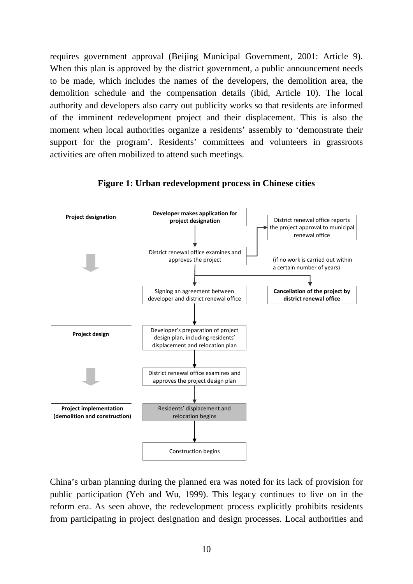requires government approval (Beijing Municipal Government, 2001: Article 9). When this plan is approved by the district government, a public announcement needs to be made, which includes the names of the developers, the demolition area, the demolition schedule and the compensation details (ibid, Article 10). The local authority and developers also carry out publicity works so that residents are informed of the imminent redevelopment project and their displacement. This is also the moment when local authorities organize a residents' assembly to 'demonstrate their support for the program'. Residents' committees and volunteers in grassroots activities are often mobilized to attend such meetings.



**Figure 1: Urban redevelopment process in Chinese cities** 

China's urban planning during the planned era was noted for its lack of provision for public participation (Yeh and Wu, 1999). This legacy continues to live on in the reform era. As seen above, the redevelopment process explicitly prohibits residents from participating in project designation and design processes. Local authorities and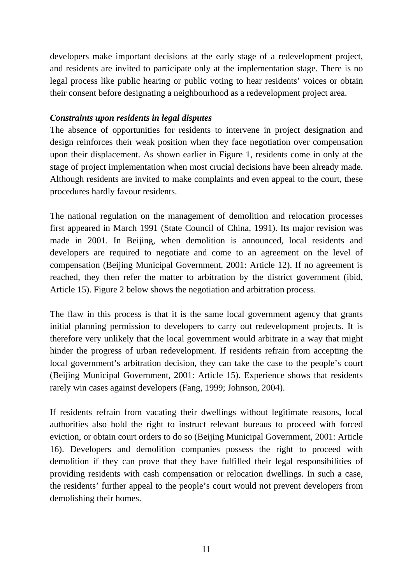developers make important decisions at the early stage of a redevelopment project, and residents are invited to participate only at the implementation stage. There is no legal process like public hearing or public voting to hear residents' voices or obtain their consent before designating a neighbourhood as a redevelopment project area.

## *Constraints upon residents in legal disputes*

The absence of opportunities for residents to intervene in project designation and design reinforces their weak position when they face negotiation over compensation upon their displacement. As shown earlier in Figure 1, residents come in only at the stage of project implementation when most crucial decisions have been already made. Although residents are invited to make complaints and even appeal to the court, these procedures hardly favour residents.

The national regulation on the management of demolition and relocation processes first appeared in March 1991 (State Council of China, 1991). Its major revision was made in 2001. In Beijing, when demolition is announced, local residents and developers are required to negotiate and come to an agreement on the level of compensation (Beijing Municipal Government, 2001: Article 12). If no agreement is reached, they then refer the matter to arbitration by the district government (ibid, Article 15). Figure 2 below shows the negotiation and arbitration process.

The flaw in this process is that it is the same local government agency that grants initial planning permission to developers to carry out redevelopment projects. It is therefore very unlikely that the local government would arbitrate in a way that might hinder the progress of urban redevelopment. If residents refrain from accepting the local government's arbitration decision, they can take the case to the people's court (Beijing Municipal Government, 2001: Article 15). Experience shows that residents rarely win cases against developers (Fang, 1999; Johnson, 2004).

If residents refrain from vacating their dwellings without legitimate reasons, local authorities also hold the right to instruct relevant bureaus to proceed with forced eviction, or obtain court orders to do so (Beijing Municipal Government, 2001: Article 16). Developers and demolition companies possess the right to proceed with demolition if they can prove that they have fulfilled their legal responsibilities of providing residents with cash compensation or relocation dwellings. In such a case, the residents' further appeal to the people's court would not prevent developers from demolishing their homes.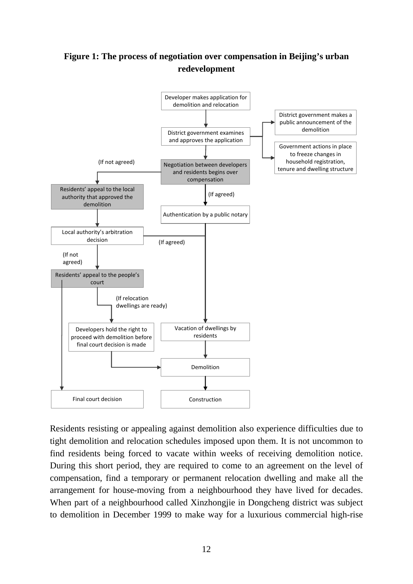# **Figure 1: The process of negotiation over compensation in Beijing's urban redevelopment**



Residents resisting or appealing against demolition also experience difficulties due to tight demolition and relocation schedules imposed upon them. It is not uncommon to find residents being forced to vacate within weeks of receiving demolition notice. During this short period, they are required to come to an agreement on the level of compensation, find a temporary or permanent relocation dwelling and make all the arrangement for house-moving from a neighbourhood they have lived for decades. When part of a neighbourhood called Xinzhongjie in Dongcheng district was subject to demolition in December 1999 to make way for a luxurious commercial high-rise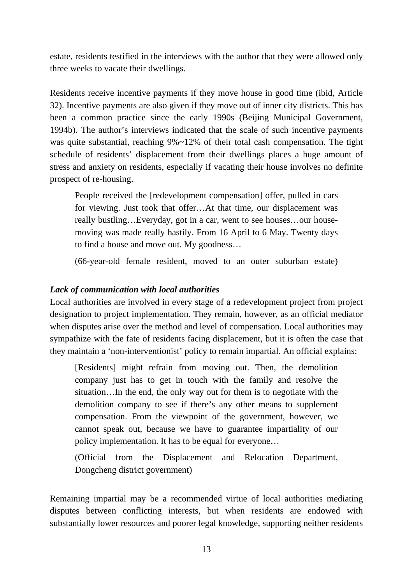estate, residents testified in the interviews with the author that they were allowed only three weeks to vacate their dwellings.

Residents receive incentive payments if they move house in good time (ibid, Article 32). Incentive payments are also given if they move out of inner city districts. This has been a common practice since the early 1990s (Beijing Municipal Government, 1994b). The author's interviews indicated that the scale of such incentive payments was quite substantial, reaching  $9\% \sim 12\%$  of their total cash compensation. The tight schedule of residents' displacement from their dwellings places a huge amount of stress and anxiety on residents, especially if vacating their house involves no definite prospect of re-housing.

People received the [redevelopment compensation] offer, pulled in cars for viewing. Just took that offer…At that time, our displacement was really bustling…Everyday, got in a car, went to see houses…our housemoving was made really hastily. From 16 April to 6 May. Twenty days to find a house and move out. My goodness…

(66-year-old female resident, moved to an outer suburban estate)

## *Lack of communication with local authorities*

Local authorities are involved in every stage of a redevelopment project from project designation to project implementation. They remain, however, as an official mediator when disputes arise over the method and level of compensation. Local authorities may sympathize with the fate of residents facing displacement, but it is often the case that they maintain a 'non-interventionist' policy to remain impartial. An official explains:

[Residents] might refrain from moving out. Then, the demolition company just has to get in touch with the family and resolve the situation…In the end, the only way out for them is to negotiate with the demolition company to see if there's any other means to supplement compensation. From the viewpoint of the government, however, we cannot speak out, because we have to guarantee impartiality of our policy implementation. It has to be equal for everyone…

(Official from the Displacement and Relocation Department, Dongcheng district government)

Remaining impartial may be a recommended virtue of local authorities mediating disputes between conflicting interests, but when residents are endowed with substantially lower resources and poorer legal knowledge, supporting neither residents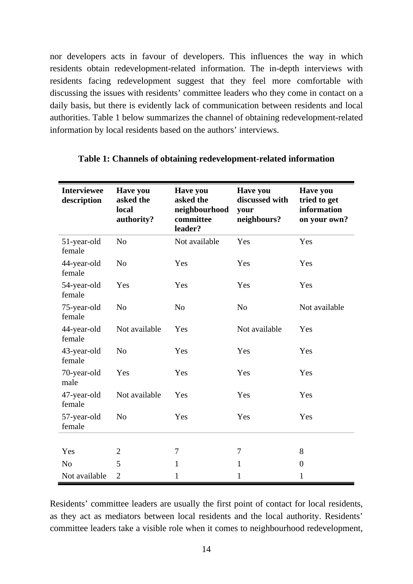nor developers acts in favour of developers. This influences the way in which residents obtain redevelopment-related information. The in-depth interviews with residents facing redevelopment suggest that they feel more comfortable with discussing the issues with residents' committee leaders who they come in contact on a daily basis, but there is evidently lack of communication between residents and local authorities. Table 1 below summarizes the channel of obtaining redevelopment-related information by local residents based on the authors' interviews.

| <b>Interviewee</b><br>description | <b>Have you</b><br>asked the<br>local<br>authority? | <b>Have you</b><br>asked the<br>neighbourhood<br>committee<br>leader? | <b>Have you</b><br>discussed with<br>your<br>neighbours? | <b>Have you</b><br>tried to get<br>information<br>on your own? |
|-----------------------------------|-----------------------------------------------------|-----------------------------------------------------------------------|----------------------------------------------------------|----------------------------------------------------------------|
| 51-year-old<br>female             | N <sub>o</sub>                                      | Not available                                                         | Yes                                                      | Yes                                                            |
| 44-year-old<br>female             | N <sub>o</sub>                                      | Yes                                                                   | Yes                                                      | Yes                                                            |
| 54-year-old<br>female             | Yes                                                 | Yes                                                                   | Yes                                                      | Yes                                                            |
| 75-year-old<br>female             | No                                                  | N <sub>o</sub>                                                        | N <sub>o</sub>                                           | Not available                                                  |
| 44-year-old<br>female             | Not available                                       | Yes                                                                   | Not available                                            | Yes                                                            |
| 43-year-old<br>female             | N <sub>o</sub>                                      | Yes                                                                   | Yes                                                      | Yes                                                            |
| 70-year-old<br>male               | Yes                                                 | Yes                                                                   | Yes                                                      | Yes                                                            |
| 47-year-old<br>female             | Not available                                       | Yes                                                                   | Yes                                                      | Yes                                                            |
| 57-year-old<br>female             | N <sub>o</sub>                                      | Yes                                                                   | Yes                                                      | Yes                                                            |
|                                   |                                                     |                                                                       |                                                          |                                                                |
| Yes                               | 2                                                   | 7                                                                     | 7                                                        | 8                                                              |
| N <sub>o</sub>                    | 5                                                   | $\mathbf{1}$                                                          | $\mathbf{1}$                                             | $\theta$                                                       |
| Not available                     | $\overline{2}$                                      | 1                                                                     | 1                                                        | 1                                                              |

#### **Table 1: Channels of obtaining redevelopment-related information**

Residents' committee leaders are usually the first point of contact for local residents, as they act as mediators between local residents and the local authority. Residents' committee leaders take a visible role when it comes to neighbourhood redevelopment,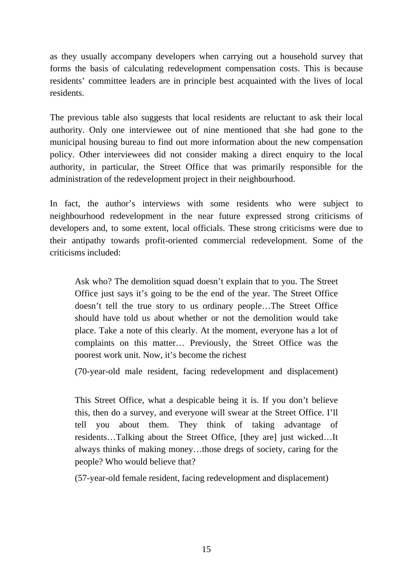as they usually accompany developers when carrying out a household survey that forms the basis of calculating redevelopment compensation costs. This is because residents' committee leaders are in principle best acquainted with the lives of local residents.

The previous table also suggests that local residents are reluctant to ask their local authority. Only one interviewee out of nine mentioned that she had gone to the municipal housing bureau to find out more information about the new compensation policy. Other interviewees did not consider making a direct enquiry to the local authority, in particular, the Street Office that was primarily responsible for the administration of the redevelopment project in their neighbourhood.

In fact, the author's interviews with some residents who were subject to neighbourhood redevelopment in the near future expressed strong criticisms of developers and, to some extent, local officials. These strong criticisms were due to their antipathy towards profit-oriented commercial redevelopment. Some of the criticisms included:

Ask who? The demolition squad doesn't explain that to you. The Street Office just says it's going to be the end of the year. The Street Office doesn't tell the true story to us ordinary people…The Street Office should have told us about whether or not the demolition would take place. Take a note of this clearly. At the moment, everyone has a lot of complaints on this matter… Previously, the Street Office was the poorest work unit. Now, it's become the richest

(70-year-old male resident, facing redevelopment and displacement)

This Street Office, what a despicable being it is. If you don't believe this, then do a survey, and everyone will swear at the Street Office. I'll tell you about them. They think of taking advantage of residents…Talking about the Street Office, [they are] just wicked…It always thinks of making money…those dregs of society, caring for the people? Who would believe that?

(57-year-old female resident, facing redevelopment and displacement)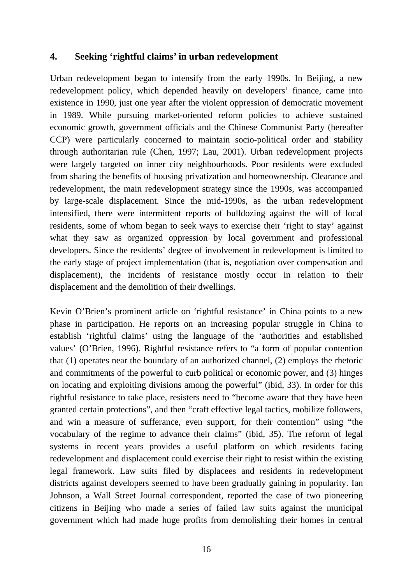## <span id="page-19-0"></span>**4. Seeking 'rightful claims' in urban redevelopment**

Urban redevelopment began to intensify from the early 1990s. In Beijing, a new redevelopment policy, which depended heavily on developers' finance, came into existence in 1990, just one year after the violent oppression of democratic movement in 1989. While pursuing market-oriented reform policies to achieve sustained economic growth, government officials and the Chinese Communist Party (hereafter CCP) were particularly concerned to maintain socio-political order and stability through authoritarian rule (Chen, 1997; Lau, 2001). Urban redevelopment projects were largely targeted on inner city neighbourhoods. Poor residents were excluded from sharing the benefits of housing privatization and homeownership. Clearance and redevelopment, the main redevelopment strategy since the 1990s, was accompanied by large-scale displacement. Since the mid-1990s, as the urban redevelopment intensified, there were intermittent reports of bulldozing against the will of local residents, some of whom began to seek ways to exercise their 'right to stay' against what they saw as organized oppression by local government and professional developers. Since the residents' degree of involvement in redevelopment is limited to the early stage of project implementation (that is, negotiation over compensation and displacement), the incidents of resistance mostly occur in relation to their displacement and the demolition of their dwellings.

Kevin O'Brien's prominent article on 'rightful resistance' in China points to a new phase in participation. He reports on an increasing popular struggle in China to establish 'rightful claims' using the language of the 'authorities and established values' (O'Brien, 1996). Rightful resistance refers to "a form of popular contention that (1) operates near the boundary of an authorized channel, (2) employs the rhetoric and commitments of the powerful to curb political or economic power, and (3) hinges on locating and exploiting divisions among the powerful" (ibid, 33). In order for this rightful resistance to take place, resisters need to "become aware that they have been granted certain protections", and then "craft effective legal tactics, mobilize followers, and win a measure of sufferance, even support, for their contention" using "the vocabulary of the regime to advance their claims" (ibid, 35). The reform of legal systems in recent years provides a useful platform on which residents facing redevelopment and displacement could exercise their right to resist within the existing legal framework. Law suits filed by displacees and residents in redevelopment districts against developers seemed to have been gradually gaining in popularity. Ian Johnson, a Wall Street Journal correspondent, reported the case of two pioneering citizens in Beijing who made a series of failed law suits against the municipal government which had made huge profits from demolishing their homes in central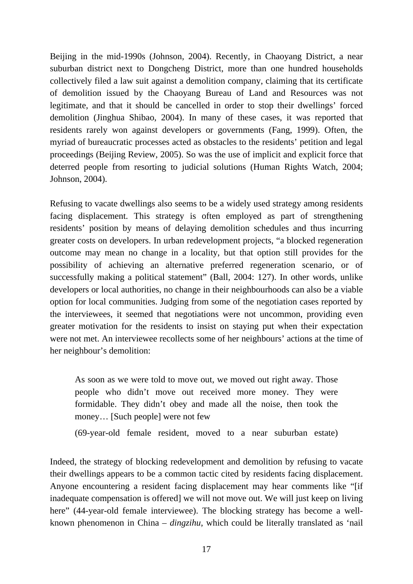Beijing in the mid-1990s (Johnson, 2004). Recently, in Chaoyang District, a near suburban district next to Dongcheng District, more than one hundred households collectively filed a law suit against a demolition company, claiming that its certificate of demolition issued by the Chaoyang Bureau of Land and Resources was not legitimate, and that it should be cancelled in order to stop their dwellings' forced demolition (Jinghua Shibao, 2004). In many of these cases, it was reported that residents rarely won against developers or governments (Fang, 1999). Often, the myriad of bureaucratic processes acted as obstacles to the residents' petition and legal proceedings (Beijing Review, 2005). So was the use of implicit and explicit force that deterred people from resorting to judicial solutions (Human Rights Watch, 2004; Johnson, 2004).

Refusing to vacate dwellings also seems to be a widely used strategy among residents facing displacement. This strategy is often employed as part of strengthening residents' position by means of delaying demolition schedules and thus incurring greater costs on developers. In urban redevelopment projects, "a blocked regeneration outcome may mean no change in a locality, but that option still provides for the possibility of achieving an alternative preferred regeneration scenario, or of successfully making a political statement" (Ball, 2004: 127). In other words, unlike developers or local authorities, no change in their neighbourhoods can also be a viable option for local communities. Judging from some of the negotiation cases reported by the interviewees, it seemed that negotiations were not uncommon, providing even greater motivation for the residents to insist on staying put when their expectation were not met. An interviewee recollects some of her neighbours' actions at the time of her neighbour's demolition:

As soon as we were told to move out, we moved out right away. Those people who didn't move out received more money. They were formidable. They didn't obey and made all the noise, then took the money… [Such people] were not few

(69-year-old female resident, moved to a near suburban estate)

Indeed, the strategy of blocking redevelopment and demolition by refusing to vacate their dwellings appears to be a common tactic cited by residents facing displacement. Anyone encountering a resident facing displacement may hear comments like "[if inadequate compensation is offered] we will not move out. We will just keep on living here" (44-year-old female interviewee). The blocking strategy has become a wellknown phenomenon in China – *dingzihu*, which could be literally translated as 'nail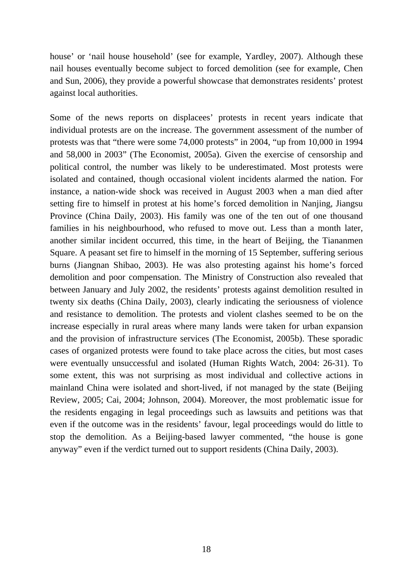house' or 'nail house household' (see for example, Yardley, 2007). Although these nail houses eventually become subject to forced demolition (see for example, Chen and Sun, 2006), they provide a powerful showcase that demonstrates residents' protest against local authorities.

Some of the news reports on displacees' protests in recent years indicate that individual protests are on the increase. The government assessment of the number of protests was that "there were some 74,000 protests" in 2004, "up from 10,000 in 1994 and 58,000 in 2003" (The Economist, 2005a). Given the exercise of censorship and political control, the number was likely to be underestimated. Most protests were isolated and contained, though occasional violent incidents alarmed the nation. For instance, a nation-wide shock was received in August 2003 when a man died after setting fire to himself in protest at his home's forced demolition in Nanjing, Jiangsu Province (China Daily, 2003). His family was one of the ten out of one thousand families in his neighbourhood, who refused to move out. Less than a month later, another similar incident occurred, this time, in the heart of Beijing, the Tiananmen Square. A peasant set fire to himself in the morning of 15 September, suffering serious burns (Jiangnan Shibao, 2003). He was also protesting against his home's forced demolition and poor compensation. The Ministry of Construction also revealed that between January and July 2002, the residents' protests against demolition resulted in twenty six deaths (China Daily, 2003), clearly indicating the seriousness of violence and resistance to demolition. The protests and violent clashes seemed to be on the increase especially in rural areas where many lands were taken for urban expansion and the provision of infrastructure services (The Economist, 2005b). These sporadic cases of organized protests were found to take place across the cities, but most cases were eventually unsuccessful and isolated (Human Rights Watch, 2004: 26-31). To some extent, this was not surprising as most individual and collective actions in mainland China were isolated and short-lived, if not managed by the state (Beijing Review, 2005; Cai, 2004; Johnson, 2004). Moreover, the most problematic issue for the residents engaging in legal proceedings such as lawsuits and petitions was that even if the outcome was in the residents' favour, legal proceedings would do little to stop the demolition. As a Beijing-based lawyer commented, "the house is gone anyway" even if the verdict turned out to support residents (China Daily, 2003).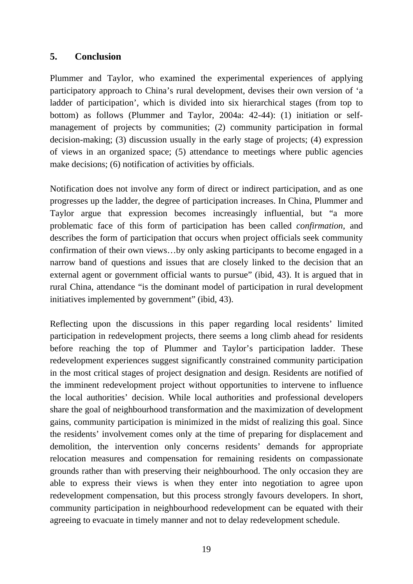## <span id="page-22-0"></span>**5. Conclusion**

Plummer and Taylor, who examined the experimental experiences of applying participatory approach to China's rural development, devises their own version of 'a ladder of participation', which is divided into six hierarchical stages (from top to bottom) as follows (Plummer and Taylor, 2004a: 42-44): (1) initiation or selfmanagement of projects by communities; (2) community participation in formal decision-making; (3) discussion usually in the early stage of projects; (4) expression of views in an organized space; (5) attendance to meetings where public agencies make decisions; (6) notification of activities by officials.

Notification does not involve any form of direct or indirect participation, and as one progresses up the ladder, the degree of participation increases. In China, Plummer and Taylor argue that expression becomes increasingly influential, but "a more problematic face of this form of participation has been called *confirmation*, and describes the form of participation that occurs when project officials seek community confirmation of their own views…by only asking participants to become engaged in a narrow band of questions and issues that are closely linked to the decision that an external agent or government official wants to pursue" (ibid, 43). It is argued that in rural China, attendance "is the dominant model of participation in rural development initiatives implemented by government" (ibid, 43).

Reflecting upon the discussions in this paper regarding local residents' limited participation in redevelopment projects, there seems a long climb ahead for residents before reaching the top of Plummer and Taylor's participation ladder. These redevelopment experiences suggest significantly constrained community participation in the most critical stages of project designation and design. Residents are notified of the imminent redevelopment project without opportunities to intervene to influence the local authorities' decision. While local authorities and professional developers share the goal of neighbourhood transformation and the maximization of development gains, community participation is minimized in the midst of realizing this goal. Since the residents' involvement comes only at the time of preparing for displacement and demolition, the intervention only concerns residents' demands for appropriate relocation measures and compensation for remaining residents on compassionate grounds rather than with preserving their neighbourhood. The only occasion they are able to express their views is when they enter into negotiation to agree upon redevelopment compensation, but this process strongly favours developers. In short, community participation in neighbourhood redevelopment can be equated with their agreeing to evacuate in timely manner and not to delay redevelopment schedule.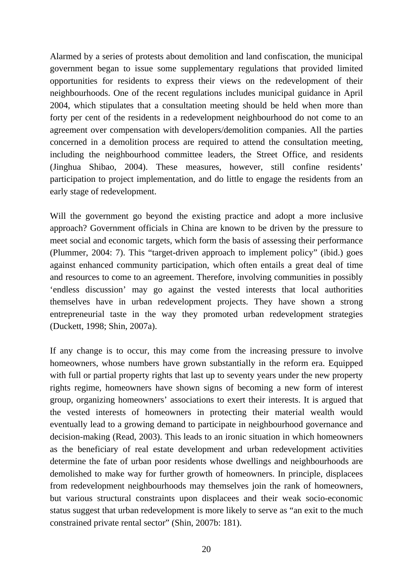Alarmed by a series of protests about demolition and land confiscation, the municipal government began to issue some supplementary regulations that provided limited opportunities for residents to express their views on the redevelopment of their neighbourhoods. One of the recent regulations includes municipal guidance in April 2004, which stipulates that a consultation meeting should be held when more than forty per cent of the residents in a redevelopment neighbourhood do not come to an agreement over compensation with developers/demolition companies. All the parties concerned in a demolition process are required to attend the consultation meeting, including the neighbourhood committee leaders, the Street Office, and residents (Jinghua Shibao, 2004). These measures, however, still confine residents' participation to project implementation, and do little to engage the residents from an early stage of redevelopment.

Will the government go beyond the existing practice and adopt a more inclusive approach? Government officials in China are known to be driven by the pressure to meet social and economic targets, which form the basis of assessing their performance (Plummer, 2004: 7). This "target-driven approach to implement policy" (ibid.) goes against enhanced community participation, which often entails a great deal of time and resources to come to an agreement. Therefore, involving communities in possibly 'endless discussion' may go against the vested interests that local authorities themselves have in urban redevelopment projects. They have shown a strong entrepreneurial taste in the way they promoted urban redevelopment strategies (Duckett, 1998; Shin, 2007a).

If any change is to occur, this may come from the increasing pressure to involve homeowners, whose numbers have grown substantially in the reform era. Equipped with full or partial property rights that last up to seventy years under the new property rights regime, homeowners have shown signs of becoming a new form of interest group, organizing homeowners' associations to exert their interests. It is argued that the vested interests of homeowners in protecting their material wealth would eventually lead to a growing demand to participate in neighbourhood governance and decision-making (Read, 2003). This leads to an ironic situation in which homeowners as the beneficiary of real estate development and urban redevelopment activities determine the fate of urban poor residents whose dwellings and neighbourhoods are demolished to make way for further growth of homeowners. In principle, displacees from redevelopment neighbourhoods may themselves join the rank of homeowners, but various structural constraints upon displacees and their weak socio-economic status suggest that urban redevelopment is more likely to serve as "an exit to the much constrained private rental sector" (Shin, 2007b: 181).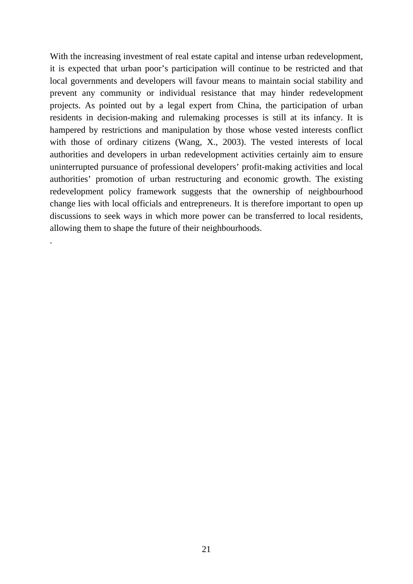With the increasing investment of real estate capital and intense urban redevelopment, it is expected that urban poor's participation will continue to be restricted and that local governments and developers will favour means to maintain social stability and prevent any community or individual resistance that may hinder redevelopment projects. As pointed out by a legal expert from China, the participation of urban residents in decision-making and rulemaking processes is still at its infancy. It is hampered by restrictions and manipulation by those whose vested interests conflict with those of ordinary citizens (Wang, X., 2003). The vested interests of local authorities and developers in urban redevelopment activities certainly aim to ensure uninterrupted pursuance of professional developers' profit-making activities and local authorities' promotion of urban restructuring and economic growth. The existing redevelopment policy framework suggests that the ownership of neighbourhood change lies with local officials and entrepreneurs. It is therefore important to open up discussions to seek ways in which more power can be transferred to local residents, allowing them to shape the future of their neighbourhoods.

.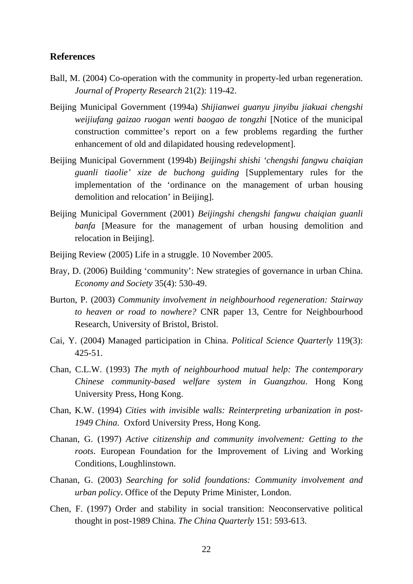#### <span id="page-25-0"></span>**References**

- Ball, M. (2004) Co-operation with the community in property-led urban regeneration. *Journal of Property Research* 21(2): 119-42.
- Beijing Municipal Government (1994a) *Shijianwei guanyu jinyibu jiakuai chengshi weijiufang gaizao ruogan wenti baogao de tongzhi* [Notice of the municipal construction committee's report on a few problems regarding the further enhancement of old and dilapidated housing redevelopment].
- Beijing Municipal Government (1994b) *Beijingshi shishi 'chengshi fangwu chaiqian guanli tiaolie' xize de buchong guiding* [Supplementary rules for the implementation of the 'ordinance on the management of urban housing demolition and relocation' in Beijing].
- Beijing Municipal Government (2001) *Beijingshi chengshi fangwu chaiqian guanli banfa* [Measure for the management of urban housing demolition and relocation in Beijing].
- Beijing Review (2005) Life in a struggle. 10 November 2005.
- Bray, D. (2006) Building 'community': New strategies of governance in urban China. *Economy and Society* 35(4): 530-49.
- Burton, P. (2003) *Community involvement in neighbourhood regeneration: Stairway to heaven or road to nowhere?* CNR paper 13, Centre for Neighbourhood Research, University of Bristol, Bristol.
- Cai, Y. (2004) Managed participation in China. *Political Science Quarterly* 119(3): 425-51.
- Chan, C.L.W. (1993) *The myth of neighbourhood mutual help: The contemporary Chinese community-based welfare system in Guangzhou*. Hong Kong University Press, Hong Kong.
- Chan, K.W. (1994) *Cities with invisible walls: Reinterpreting urbanization in post-1949 China*. Oxford University Press, Hong Kong.
- Chanan, G. (1997) *Active citizenship and community involvement: Getting to the roots*. European Foundation for the Improvement of Living and Working Conditions, Loughlinstown.
- Chanan, G. (2003) *Searching for solid foundations: Community involvement and urban policy*. Office of the Deputy Prime Minister, London.
- Chen, F. (1997) Order and stability in social transition: Neoconservative political thought in post-1989 China. *The China Quarterly* 151: 593-613.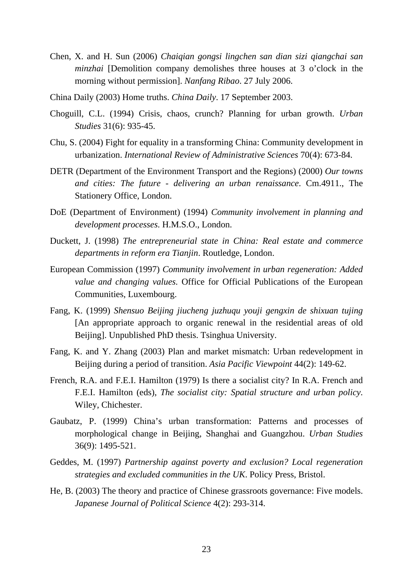- Chen, X. and H. Sun (2006) *Chaiqian gongsi lingchen san dian sizi qiangchai san minzhai* [Demolition company demolishes three houses at 3 o'clock in the morning without permission]. *Nanfang Ribao*. 27 July 2006.
- China Daily (2003) Home truths. *China Daily*. 17 September 2003.
- Choguill, C.L. (1994) Crisis, chaos, crunch? Planning for urban growth. *Urban Studies* 31(6): 935-45.
- Chu, S. (2004) Fight for equality in a transforming China: Community development in urbanization. *International Review of Administrative Sciences* 70(4): 673-84.
- DETR (Department of the Environment Transport and the Regions) (2000) *Our towns and cities: The future - delivering an urban renaissance*. Cm.4911., The Stationery Office, London.
- DoE (Department of Environment) (1994) *Community involvement in planning and development processes*. H.M.S.O., London.
- Duckett, J. (1998) *The entrepreneurial state in China: Real estate and commerce departments in reform era Tianjin*. Routledge, London.
- European Commission (1997) *Community involvement in urban regeneration: Added value and changing values.* Office for Official Publications of the European Communities, Luxembourg.
- Fang, K. (1999) *Shensuo Beijing jiucheng juzhuqu youji gengxin de shixuan tujing*  [An appropriate approach to organic renewal in the residential areas of old Beijing]. Unpublished PhD thesis. Tsinghua University.
- Fang, K. and Y. Zhang (2003) Plan and market mismatch: Urban redevelopment in Beijing during a period of transition. *Asia Pacific Viewpoint* 44(2): 149-62.
- French, R.A. and F.E.I. Hamilton (1979) Is there a socialist city? In R.A. French and F.E.I. Hamilton (eds), *The socialist city: Spatial structure and urban policy*. Wiley, Chichester.
- Gaubatz, P. (1999) China's urban transformation: Patterns and processes of morphological change in Beijing, Shanghai and Guangzhou. *Urban Studies* 36(9): 1495-521.
- Geddes, M. (1997) *Partnership against poverty and exclusion? Local regeneration strategies and excluded communities in the UK*. Policy Press, Bristol.
- He, B. (2003) The theory and practice of Chinese grassroots governance: Five models. *Japanese Journal of Political Science* 4(2): 293-314.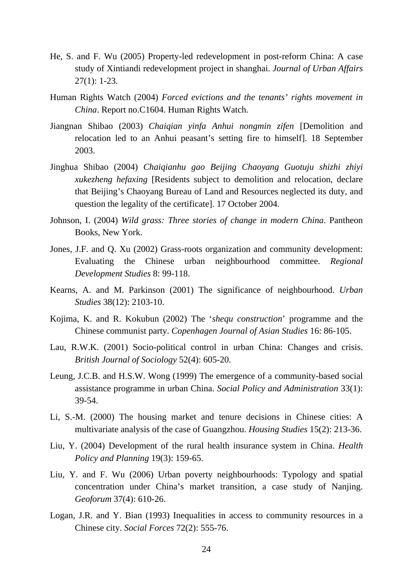- He, S. and F. Wu (2005) Property-led redevelopment in post-reform China: A case study of Xintiandi redevelopment project in shanghai. *Journal of Urban Affairs* 27(1): 1-23.
- Human Rights Watch (2004) *Forced evictions and the tenants' rights movement in China*. Report no.C1604. Human Rights Watch.
- Jiangnan Shibao (2003) *Chaiqian yinfa Anhui nongmin zifen* [Demolition and relocation led to an Anhui peasant's setting fire to himself]. 18 September 2003.
- Jinghua Shibao (2004) *Chaiqianhu gao Beijing Chaoyang Guotuju shizhi zhiyi xukezheng hefaxing* [Residents subject to demolition and relocation, declare that Beijing's Chaoyang Bureau of Land and Resources neglected its duty, and question the legality of the certificate]. 17 October 2004.
- Johnson, I. (2004) *Wild grass: Three stories of change in modern China*. Pantheon Books, New York.
- Jones, J.F. and Q. Xu (2002) Grass-roots organization and community development: Evaluating the Chinese urban neighbourhood committee. *Regional Development Studies* 8: 99-118.
- Kearns, A. and M. Parkinson (2001) The significance of neighbourhood. *Urban Studies* 38(12): 2103-10.
- Kojima, K. and R. Kokubun (2002) The '*shequ construction*' programme and the Chinese communist party. *Copenhagen Journal of Asian Studies* 16: 86-105.
- Lau, R.W.K. (2001) Socio-political control in urban China: Changes and crisis. *British Journal of Sociology* 52(4): 605-20.
- Leung, J.C.B. and H.S.W. Wong (1999) The emergence of a community-based social assistance programme in urban China. *Social Policy and Administration* 33(1): 39-54.
- Li, S.-M. (2000) The housing market and tenure decisions in Chinese cities: A multivariate analysis of the case of Guangzhou. *Housing Studies* 15(2): 213-36.
- Liu, Y. (2004) Development of the rural health insurance system in China. *Health Policy and Planning* 19(3): 159-65.
- Liu, Y. and F. Wu (2006) Urban poverty neighbourhoods: Typology and spatial concentration under China's market transition, a case study of Nanjing. *Geoforum* 37(4): 610-26.
- Logan, J.R. and Y. Bian (1993) Inequalities in access to community resources in a Chinese city. *Social Forces* 72(2): 555-76.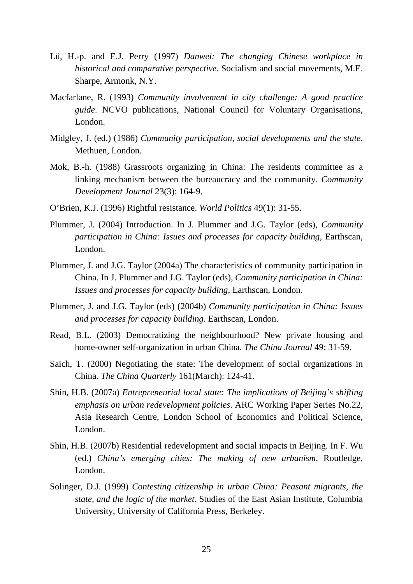- Lü, H.-p. and E.J. Perry (1997) *Danwei: The changing Chinese workplace in historical and comparative perspective*. Socialism and social movements, M.E. Sharpe, Armonk, N.Y.
- Macfarlane, R. (1993) *Community involvement in city challenge: A good practice guide*. NCVO publications, National Council for Voluntary Organisations, London.
- Midgley, J. (ed.) (1986) *Community participation, social developments and the state*. Methuen, London.
- Mok, B.-h. (1988) Grassroots organizing in China: The residents committee as a linking mechanism between the bureaucracy and the community. *Community Development Journal* 23(3): 164-9.
- O'Brien, K.J. (1996) Rightful resistance. *World Politics* 49(1): 31-55.
- Plummer, J. (2004) Introduction. In J. Plummer and J.G. Taylor (eds), *Community participation in China: Issues and processes for capacity building*, Earthscan, London.
- Plummer, J. and J.G. Taylor (2004a) The characteristics of community participation in China. In J. Plummer and J.G. Taylor (eds), *Community participation in China: Issues and processes for capacity building*, Earthscan, London.
- Plummer, J. and J.G. Taylor (eds) (2004b) *Community participation in China: Issues and processes for capacity building*. Earthscan, London.
- Read, B.L. (2003) Democratizing the neighbourhood? New private housing and home-owner self-organization in urban China. *The China Journal* 49: 31-59.
- Saich, T. (2000) Negotiating the state: The development of social organizations in China. *The China Quarterly* 161(March): 124-41.
- Shin, H.B. (2007a) *Entrepreneurial local state: The implications of Beijing's shifting emphasis on urban redevelopment policies*. ARC Working Paper Series No.22, Asia Research Centre, London School of Economics and Political Science, London.
- Shin, H.B. (2007b) Residential redevelopment and social impacts in Beijing. In F. Wu (ed.) *China's emerging cities: The making of new urbanism*, Routledge, London.
- Solinger, D.J. (1999) *Contesting citizenship in urban China: Peasant migrants, the state, and the logic of the market*. Studies of the East Asian Institute, Columbia University, University of California Press, Berkeley.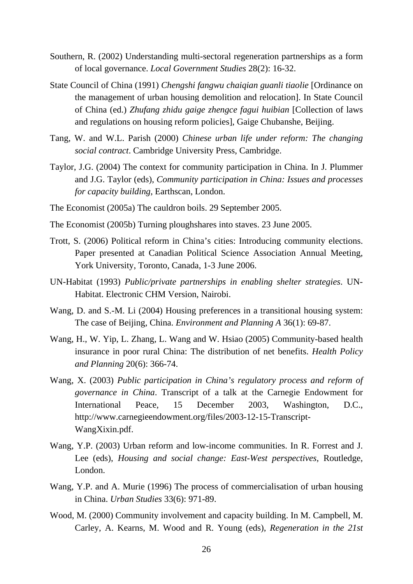- Southern, R. (2002) Understanding multi-sectoral regeneration partnerships as a form of local governance. *Local Government Studies* 28(2): 16-32.
- State Council of China (1991) *Chengshi fangwu chaiqian guanli tiaolie* [Ordinance on the management of urban housing demolition and relocation]. In State Council of China (ed.) *Zhufang zhidu gaige zhengce fagui huibian* [Collection of laws and regulations on housing reform policies], Gaige Chubanshe, Beijing.
- Tang, W. and W.L. Parish (2000) *Chinese urban life under reform: The changing social contract*. Cambridge University Press, Cambridge.
- Taylor, J.G. (2004) The context for community participation in China. In J. Plummer and J.G. Taylor (eds), *Community participation in China: Issues and processes for capacity building*, Earthscan, London.
- The Economist (2005a) The cauldron boils. 29 September 2005.
- The Economist (2005b) Turning ploughshares into staves. 23 June 2005.
- Trott, S. (2006) Political reform in China's cities: Introducing community elections. Paper presented at Canadian Political Science Association Annual Meeting, York University, Toronto, Canada, 1-3 June 2006.
- UN-Habitat (1993) *Public/private partnerships in enabling shelter strategies*. UN-Habitat. Electronic CHM Version, Nairobi.
- Wang, D. and S.-M. Li (2004) Housing preferences in a transitional housing system: The case of Beijing, China. *Environment and Planning A* 36(1): 69-87.
- Wang, H., W. Yip, L. Zhang, L. Wang and W. Hsiao (2005) Community-based health insurance in poor rural China: The distribution of net benefits. *Health Policy and Planning* 20(6): 366-74.
- Wang, X. (2003) *Public participation in China's regulatory process and reform of governance in China*. Transcript of a talk at the Carnegie Endowment for International Peace, 15 December 2003, Washington, D.C., http://www.carnegieendowment.org/files/2003-12-15-Transcript-WangXixin.pdf.
- Wang, Y.P. (2003) Urban reform and low-income communities. In R. Forrest and J. Lee (eds), *Housing and social change: East-West perspectives*, Routledge, London.
- Wang, Y.P. and A. Murie (1996) The process of commercialisation of urban housing in China. *Urban Studies* 33(6): 971-89.
- Wood, M. (2000) Community involvement and capacity building. In M. Campbell, M. Carley, A. Kearns, M. Wood and R. Young (eds), *Regeneration in the 21st*